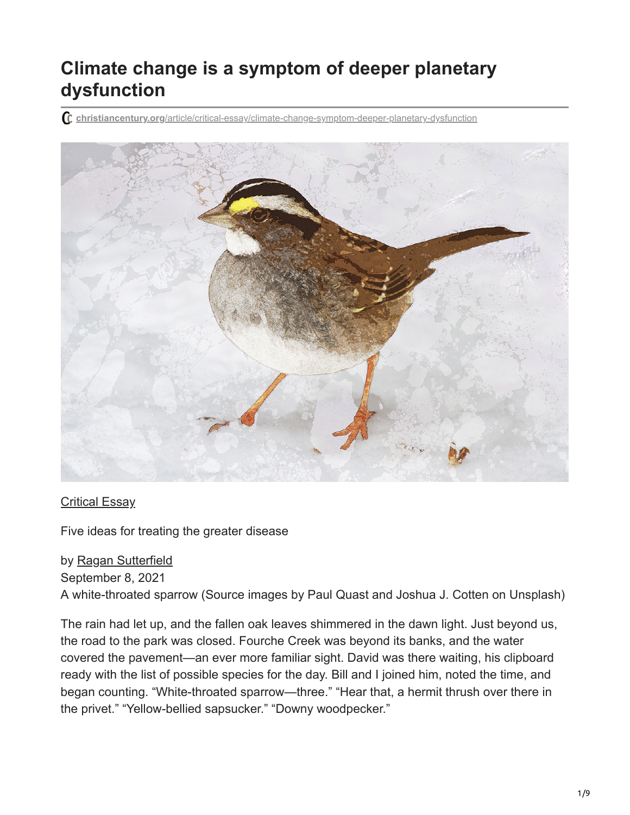## **Climate change is a symptom of deeper planetary dysfunction**

**christiancentury.org**[/article/critical-essay/climate-change-symptom-deeper-planetary-dysfunction](https://www.christiancentury.org/article/critical-essay/climate-change-symptom-deeper-planetary-dysfunction)



[Critical Essay](https://www.christiancentury.org/sections/critical-essay)

Five ideas for treating the greater disease

by [Ragan Sutterfield](https://www.christiancentury.org/contributor/ragan-sutterfield) September 8, 2021 A white-throated sparrow (Source images by Paul Quast and Joshua J. Cotten on Unsplash)

The rain had let up, and the fallen oak leaves shimmered in the dawn light. Just beyond us, the road to the park was closed. Fourche Creek was beyond its banks, and the water covered the pavement—an ever more familiar sight. David was there waiting, his clipboard ready with the list of possible species for the day. Bill and I joined him, noted the time, and began counting. "White-throated sparrow—three." "Hear that, a hermit thrush over there in the privet." "Yellow-bellied sapsucker." "Downy woodpecker."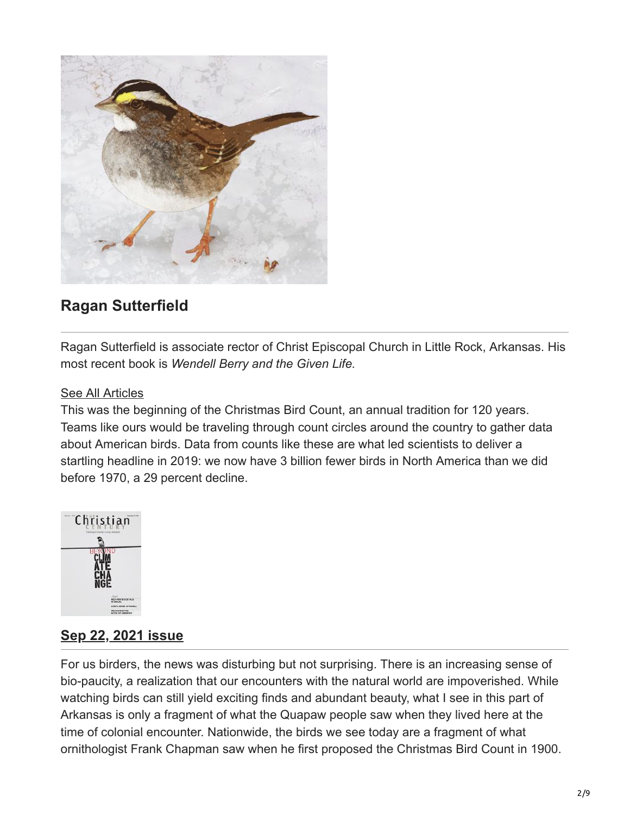

## **Ragan Sutterfield**

Ragan Sutterfield is associate rector of Christ Episcopal Church in Little Rock, Arkansas. His most recent book is *Wendell Berry and the Given Life.*

## [See All Articles](https://www.christiancentury.org/contributor/ragan-sutterfield)

This was the beginning of the Christmas Bird Count, an annual tradition for 120 years. Teams like ours would be traveling through count circles around the country to gather data about American birds. Data from counts like these are what led scientists to deliver a startling headline in 2019: we now have 3 billion fewer birds in North America than we did before 1970, a 29 percent decline.



## **[Sep 22, 2021 issue](https://www.christiancentury.org/issue/sep-22-2021)**

For us birders, the news was disturbing but not surprising. There is an increasing sense of bio-paucity, a realization that our encounters with the natural world are impoverished. While watching birds can still yield exciting finds and abundant beauty, what I see in this part of Arkansas is only a fragment of what the Quapaw people saw when they lived here at the time of colonial encounter. Nationwide, the birds we see today are a fragment of what ornithologist Frank Chapman saw when he first proposed the Christmas Bird Count in 1900.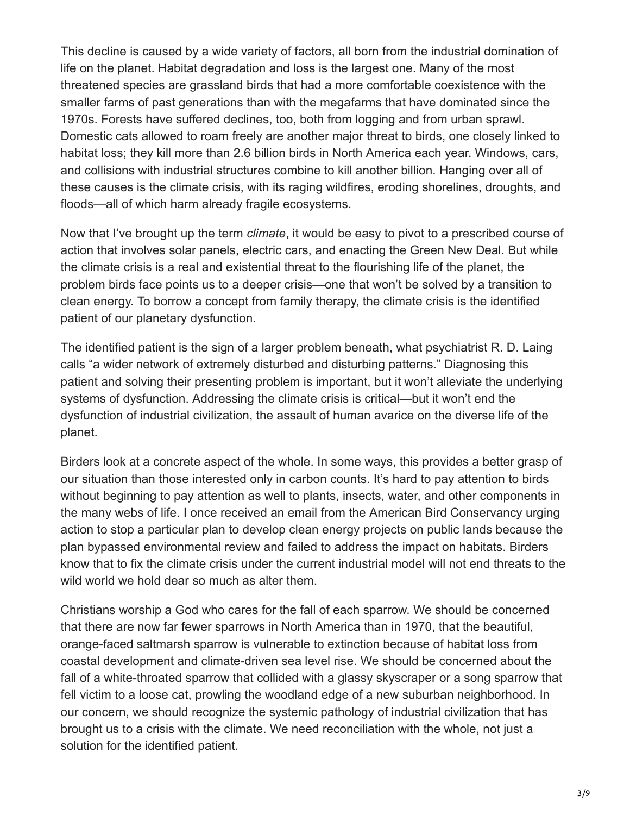This decline is caused by a wide variety of factors, all born from the industrial domination of life on the planet. Habitat degradation and loss is the largest one. Many of the most threatened species are grassland birds that had a more comfortable coexistence with the smaller farms of past generations than with the megafarms that have dominated since the 1970s. Forests have suffered declines, too, both from logging and from urban sprawl. Domestic cats allowed to roam freely are another major threat to birds, one closely linked to habitat loss; they kill more than 2.6 billion birds in North America each year. Windows, cars, and collisions with industrial structures combine to kill another billion. Hanging over all of these causes is the climate crisis, with its raging wildfires, eroding shorelines, droughts, and floods—all of which harm already fragile ecosystems.

Now that I've brought up the term *climate*, it would be easy to pivot to a prescribed course of action that involves solar panels, electric cars, and enacting the Green New Deal. But while the climate crisis is a real and existential threat to the flourishing life of the planet, the problem birds face points us to a deeper crisis—one that won't be solved by a transition to clean energy. To borrow a concept from family therapy, the climate crisis is the identified patient of our planetary dysfunction.

The identified patient is the sign of a larger problem beneath, what psychiatrist R. D. Laing calls "a wider network of extremely disturbed and disturbing patterns." Diagnosing this patient and solving their presenting problem is important, but it won't alleviate the underlying systems of dysfunction. Addressing the climate crisis is critical—but it won't end the dysfunction of industrial civilization, the assault of human avarice on the diverse life of the planet.

Birders look at a concrete aspect of the whole. In some ways, this provides a better grasp of our situation than those interested only in carbon counts. It's hard to pay attention to birds without beginning to pay attention as well to plants, insects, water, and other components in the many webs of life. I once received an email from the American Bird Conservancy urging action to stop a particular plan to develop clean energy projects on public lands because the plan bypassed environmental review and failed to address the impact on habitats. Birders know that to fix the climate crisis under the current industrial model will not end threats to the wild world we hold dear so much as alter them.

Christians worship a God who cares for the fall of each sparrow. We should be concerned that there are now far fewer sparrows in North America than in 1970, that the beautiful, orange-faced saltmarsh sparrow is vulnerable to extinction because of habitat loss from coastal development and climate-driven sea level rise. We should be concerned about the fall of a white-throated sparrow that collided with a glassy skyscraper or a song sparrow that fell victim to a loose cat, prowling the woodland edge of a new suburban neighborhood. In our concern, we should recognize the systemic pathology of industrial civilization that has brought us to a crisis with the climate. We need reconciliation with the whole, not just a solution for the identified patient.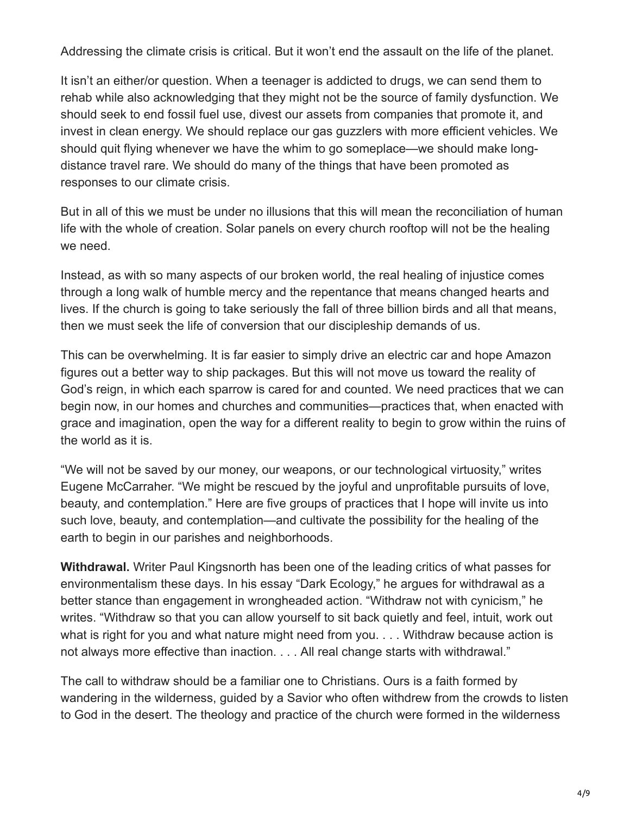Addressing the climate crisis is critical. But it won't end the assault on the life of the planet.

It isn't an either/or question. When a teenager is addicted to drugs, we can send them to rehab while also acknowledging that they might not be the source of family dysfunction. We should seek to end fossil fuel use, divest our assets from companies that promote it, and invest in clean energy. We should replace our gas guzzlers with more efficient vehicles. We should quit flying whenever we have the whim to go someplace—we should make longdistance travel rare. We should do many of the things that have been promoted as responses to our climate crisis.

But in all of this we must be under no illusions that this will mean the reconciliation of human life with the whole of creation. Solar panels on every church rooftop will not be the healing we need.

Instead, as with so many aspects of our broken world, the real healing of injustice comes through a long walk of humble mercy and the repentance that means changed hearts and lives. If the church is going to take seriously the fall of three billion birds and all that means, then we must seek the life of conversion that our discipleship demands of us.

This can be overwhelming. It is far easier to simply drive an electric car and hope Amazon figures out a better way to ship packages. But this will not move us toward the reality of God's reign, in which each sparrow is cared for and counted. We need practices that we can begin now, in our homes and churches and communities—practices that, when enacted with grace and imagination, open the way for a different reality to begin to grow within the ruins of the world as it is.

"We will not be saved by our money, our weapons, or our technological virtuosity," writes Eugene McCarraher. "We might be rescued by the joyful and unprofitable pursuits of love, beauty, and contemplation." Here are five groups of practices that I hope will invite us into such love, beauty, and contemplation—and cultivate the possibility for the healing of the earth to begin in our parishes and neighborhoods.

**Withdrawal.** Writer Paul Kingsnorth has been one of the leading critics of what passes for environmentalism these days. In his essay "Dark Ecology," he argues for withdrawal as a better stance than engagement in wrongheaded action. "Withdraw not with cynicism," he writes. "Withdraw so that you can allow yourself to sit back quietly and feel, intuit, work out what is right for you and what nature might need from you. . . . Withdraw because action is not always more effective than inaction. . . . All real change starts with withdrawal."

The call to withdraw should be a familiar one to Christians. Ours is a faith formed by wandering in the wilderness, guided by a Savior who often withdrew from the crowds to listen to God in the desert. The theology and practice of the church were formed in the wilderness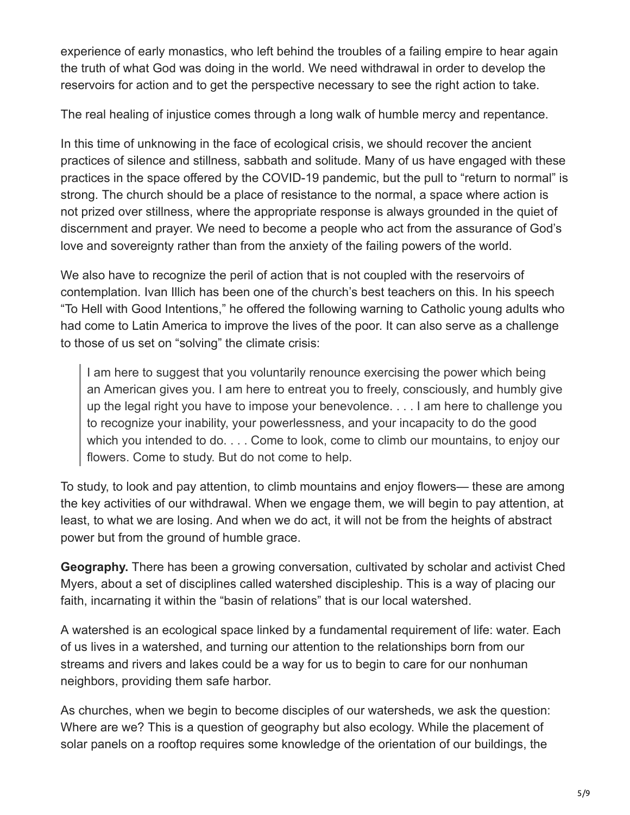experience of early monastics, who left behind the troubles of a failing empire to hear again the truth of what God was doing in the world. We need withdrawal in order to develop the reservoirs for action and to get the perspective necessary to see the right action to take.

The real healing of injustice comes through a long walk of humble mercy and repentance.

In this time of unknowing in the face of ecological crisis, we should recover the ancient practices of silence and stillness, sabbath and solitude. Many of us have engaged with these practices in the space offered by the COVID-19 pandemic, but the pull to "return to normal" is strong. The church should be a place of resistance to the normal, a space where action is not prized over stillness, where the appropriate response is always grounded in the quiet of discernment and prayer. We need to become a people who act from the assurance of God's love and sovereignty rather than from the anxiety of the failing powers of the world.

We also have to recognize the peril of action that is not coupled with the reservoirs of contemplation. Ivan Illich has been one of the church's best teachers on this. In his speech "To Hell with Good Intentions," he offered the following warning to Catholic young adults who had come to Latin America to improve the lives of the poor. It can also serve as a challenge to those of us set on "solving" the climate crisis:

I am here to suggest that you voluntarily renounce exercising the power which being an American gives you. I am here to entreat you to freely, consciously, and humbly give up the legal right you have to impose your benevolence. . . . I am here to challenge you to recognize your inability, your powerlessness, and your incapacity to do the good which you intended to do. . . . Come to look, come to climb our mountains, to enjoy our flowers. Come to study. But do not come to help.

To study, to look and pay attention, to climb mountains and enjoy flowers— these are among the key activities of our withdrawal. When we engage them, we will begin to pay attention, at least, to what we are losing. And when we do act, it will not be from the heights of abstract power but from the ground of humble grace.

**Geography.** There has been a growing conversation, cultivated by scholar and activist Ched Myers, about a set of disciplines called watershed discipleship. This is a way of placing our faith, incarnating it within the "basin of relations" that is our local watershed.

A watershed is an ecological space linked by a fundamental requirement of life: water. Each of us lives in a watershed, and turning our attention to the relationships born from our streams and rivers and lakes could be a way for us to begin to care for our nonhuman neighbors, providing them safe harbor.

As churches, when we begin to become disciples of our watersheds, we ask the question: Where are we? This is a question of geography but also ecology. While the placement of solar panels on a rooftop requires some knowledge of the orientation of our buildings, the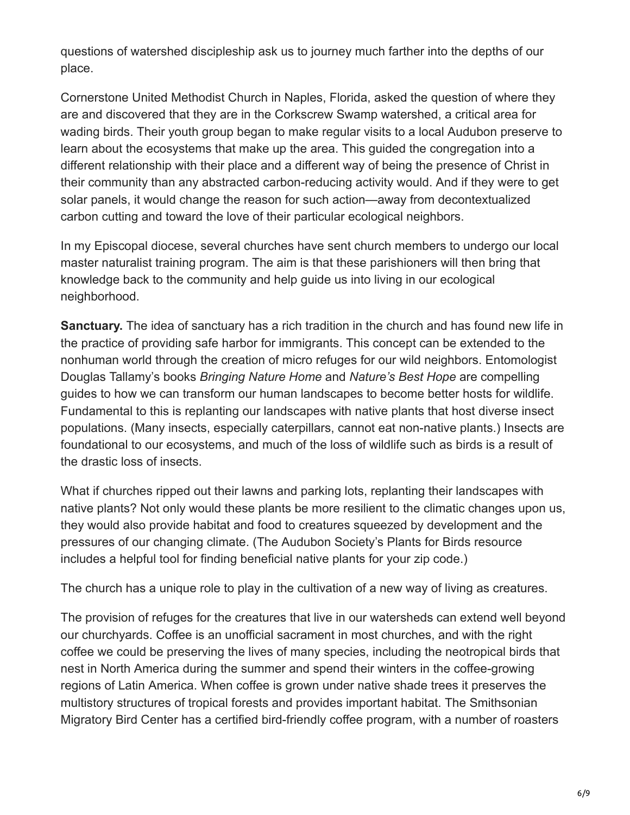questions of watershed discipleship ask us to journey much farther into the depths of our place.

Cornerstone United Methodist Church in Naples, Florida, asked the question of where they are and discovered that they are in the Corkscrew Swamp watershed, a critical area for wading birds. Their youth group began to make regular visits to a local Audubon preserve to learn about the ecosystems that make up the area. This guided the congregation into a different relationship with their place and a different way of being the presence of Christ in their community than any abstracted carbon-reducing activity would. And if they were to get solar panels, it would change the reason for such action—away from decontextualized carbon cutting and toward the love of their particular ecological neighbors.

In my Episcopal diocese, several churches have sent church members to undergo our local master naturalist training program. The aim is that these parishioners will then bring that knowledge back to the community and help guide us into living in our ecological neighborhood.

**Sanctuary.** The idea of sanctuary has a rich tradition in the church and has found new life in the practice of providing safe harbor for immigrants. This concept can be extended to the nonhuman world through the creation of micro refuges for our wild neighbors. Entomologist Douglas Tallamy's books *Bringing Nature Home* and *Nature's Best Hope* are compelling guides to how we can transform our human landscapes to become better hosts for wildlife. Fundamental to this is replanting our landscapes with native plants that host diverse insect populations. (Many insects, especially caterpillars, cannot eat non-native plants.) Insects are foundational to our ecosystems, and much of the loss of wildlife such as birds is a result of the drastic loss of insects.

What if churches ripped out their lawns and parking lots, replanting their landscapes with native plants? Not only would these plants be more resilient to the climatic changes upon us, they would also provide habitat and food to creatures squeezed by development and the pressures of our changing climate. (The Audubon Society's Plants for Birds resource includes a helpful tool for finding beneficial native plants for your zip code.)

The church has a unique role to play in the cultivation of a new way of living as creatures.

The provision of refuges for the creatures that live in our watersheds can extend well beyond our churchyards. Coffee is an unofficial sacrament in most churches, and with the right coffee we could be preserving the lives of many species, including the neotropical birds that nest in North America during the summer and spend their winters in the coffee-growing regions of Latin America. When coffee is grown under native shade trees it preserves the multistory structures of tropical forests and provides important habitat. The Smithsonian Migratory Bird Center has a certified bird-friendly coffee program, with a number of roasters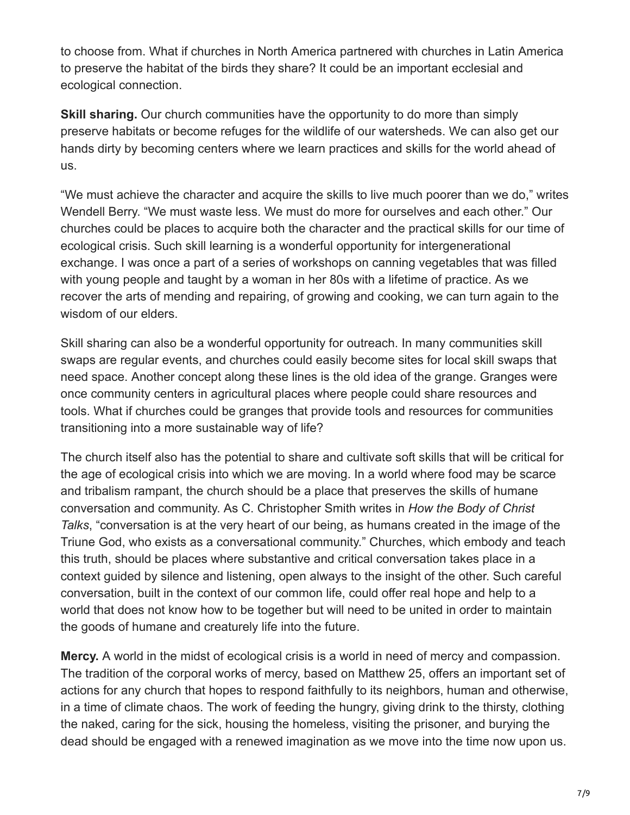to choose from. What if churches in North America partnered with churches in Latin America to preserve the habitat of the birds they share? It could be an important ecclesial and ecological connection.

**Skill sharing.** Our church communities have the opportunity to do more than simply preserve habitats or become refuges for the wildlife of our watersheds. We can also get our hands dirty by becoming centers where we learn practices and skills for the world ahead of us.

"We must achieve the character and acquire the skills to live much poorer than we do," writes Wendell Berry. "We must waste less. We must do more for ourselves and each other." Our churches could be places to acquire both the character and the practical skills for our time of ecological crisis. Such skill learning is a wonderful opportunity for intergenerational exchange. I was once a part of a series of workshops on canning vegetables that was filled with young people and taught by a woman in her 80s with a lifetime of practice. As we recover the arts of mending and repairing, of growing and cooking, we can turn again to the wisdom of our elders.

Skill sharing can also be a wonderful opportunity for outreach. In many communities skill swaps are regular events, and churches could easily become sites for local skill swaps that need space. Another concept along these lines is the old idea of the grange. Granges were once community centers in agricultural places where people could share resources and tools. What if churches could be granges that provide tools and resources for communities transitioning into a more sustainable way of life?

The church itself also has the potential to share and cultivate soft skills that will be critical for the age of ecological crisis into which we are moving. In a world where food may be scarce and tribalism rampant, the church should be a place that preserves the skills of humane conversation and community. As C. Christopher Smith writes in *How the Body of Christ Talks*, "conversation is at the very heart of our being, as humans created in the image of the Triune God, who exists as a conversational community." Churches, which embody and teach this truth, should be places where substantive and critical conversation takes place in a context guided by silence and listening, open always to the insight of the other. Such careful conversation, built in the context of our common life, could offer real hope and help to a world that does not know how to be together but will need to be united in order to maintain the goods of humane and creaturely life into the future.

**Mercy.** A world in the midst of ecological crisis is a world in need of mercy and compassion. The tradition of the corporal works of mercy, based on Matthew 25, offers an important set of actions for any church that hopes to respond faithfully to its neighbors, human and otherwise, in a time of climate chaos. The work of feeding the hungry, giving drink to the thirsty, clothing the naked, caring for the sick, housing the homeless, visiting the prisoner, and burying the dead should be engaged with a renewed imagination as we move into the time now upon us.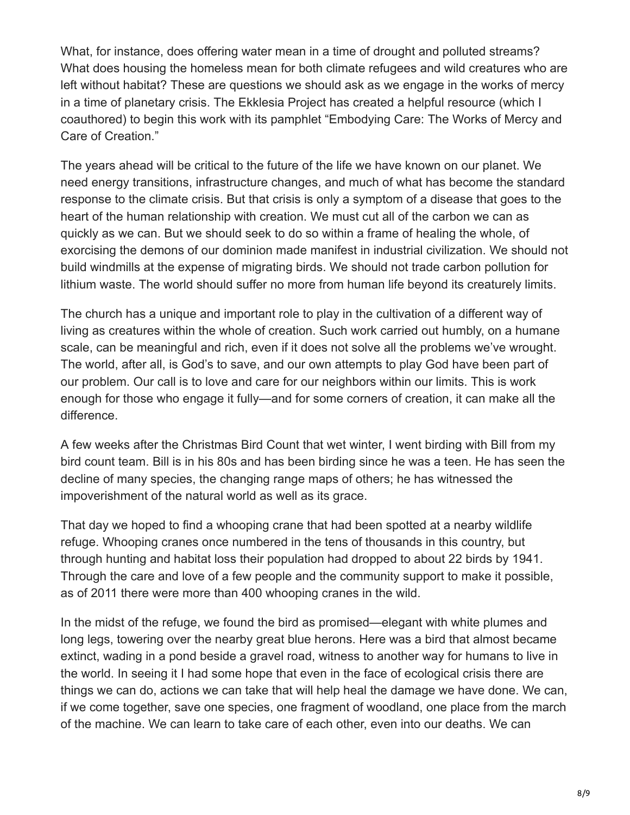What, for instance, does offering water mean in a time of drought and polluted streams? What does housing the homeless mean for both climate refugees and wild creatures who are left without habitat? These are questions we should ask as we engage in the works of mercy in a time of planetary crisis. The Ekklesia Project has created a helpful resource (which I coauthored) to begin this work with its pamphlet "Embodying Care: The Works of Mercy and Care of Creation."

The years ahead will be critical to the future of the life we have known on our planet. We need energy transitions, infrastructure changes, and much of what has become the standard response to the climate crisis. But that crisis is only a symptom of a disease that goes to the heart of the human relationship with creation. We must cut all of the carbon we can as quickly as we can. But we should seek to do so within a frame of healing the whole, of exorcising the demons of our dominion made manifest in industrial civilization. We should not build windmills at the expense of migrating birds. We should not trade carbon pollution for lithium waste. The world should suffer no more from human life beyond its creaturely limits.

The church has a unique and important role to play in the cultivation of a different way of living as creatures within the whole of creation. Such work carried out humbly, on a humane scale, can be meaningful and rich, even if it does not solve all the problems we've wrought. The world, after all, is God's to save, and our own attempts to play God have been part of our problem. Our call is to love and care for our neighbors within our limits. This is work enough for those who engage it fully—and for some corners of creation, it can make all the difference.

A few weeks after the Christmas Bird Count that wet winter, I went birding with Bill from my bird count team. Bill is in his 80s and has been birding since he was a teen. He has seen the decline of many species, the changing range maps of others; he has witnessed the impoverishment of the natural world as well as its grace.

That day we hoped to find a whooping crane that had been spotted at a nearby wildlife refuge. Whooping cranes once numbered in the tens of thousands in this country, but through hunting and habitat loss their population had dropped to about 22 birds by 1941. Through the care and love of a few people and the community support to make it possible, as of 2011 there were more than 400 whooping cranes in the wild.

In the midst of the refuge, we found the bird as promised—elegant with white plumes and long legs, towering over the nearby great blue herons. Here was a bird that almost became extinct, wading in a pond beside a gravel road, witness to another way for humans to live in the world. In seeing it I had some hope that even in the face of ecological crisis there are things we can do, actions we can take that will help heal the damage we have done. We can, if we come together, save one species, one fragment of woodland, one place from the march of the machine. We can learn to take care of each other, even into our deaths. We can